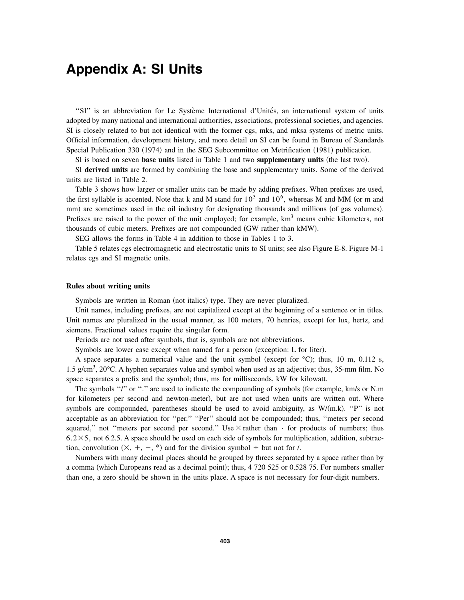## **Appendix A: SI Units**

"SI" is an abbreviation for Le Système International d'Unités, an international system of units adopted by many national and international authorities, associations, professional societies, and agencies. SI is closely related to but not identical with the former cgs, mks, and mksa systems of metric units. Official information, development history, and more detail on SI can be found in Bureau of Standards Special Publication 330 (1974) and in the SEG Subcommittee on Metrification (1981) publication.

SI is based on seven **base units** listed in Table 1 and two **supplementary units** (the last two).

SI **derived units** are formed by combining the base and supplementary units. Some of the derived units are listed in Table 2.

Table 3 shows how larger or smaller units can be made by adding prefixes. When prefixes are used, the first syllable is accented. Note that k and M stand for  $10^3$  and  $10^6$ , whereas M and MM (or m and mm) are sometimes used in the oil industry for designating thousands and millions (of gas volumes). Prefixes are raised to the power of the unit employed; for example,  $km<sup>3</sup>$  means cubic kilometers, not thousands of cubic meters. Prefixes are not compounded (GW rather than kMW).

SEG allows the forms in Table 4 in addition to those in Tables 1 to 3.

Table 5 relates cgs electromagnetic and electrostatic units to SI units; see also Figure E-8. Figure M-1 relates cgs and SI magnetic units.

## **Rules about writing units**

Symbols are written in Roman (not italics) type. They are never pluralized.

Unit names, including prefixes, are not capitalized except at the beginning of a sentence or in titles. Unit names are pluralized in the usual manner, as 100 meters, 70 henries, except for lux, hertz, and siemens. Fractional values require the singular form.

Periods are not used after symbols, that is, symbols are not abbreviations.

Symbols are lower case except when named for a person (exception: L for liter).

A space separates a numerical value and the unit symbol (except for  $^{\circ}$ C); thus, 10 m, 0.112 s, 1.5 g/cm<sup>3</sup>, 20°C. A hyphen separates value and symbol when used as an adjective; thus, 35-mm film. No space separates a prefix and the symbol; thus, ms for milliseconds, kW for kilowatt.

The symbols "/" or "." are used to indicate the compounding of symbols (for example, km/s or N.m.) for kilometers per second and newton-meter), but are not used when units are written out. Where symbols are compounded, parentheses should be used to avoid ambiguity, as  $W/(m.k)$ . "P" is not acceptable as an abbreviation for ''per.'' ''Per'' should not be compounded; thus, ''meters per second squared," not "meters per second per second." Use  $\times$  rather than  $\cdot$  for products of numbers; thus  $6.2 \times 5$ , not 6.2.5. A space should be used on each side of symbols for multiplication, addition, subtraction, convolution  $(X, +, -, *)$  and for the division symbol  $\div$  but not for /.

Numbers with many decimal places should be grouped by threes separated by a space rather than by a comma (which Europeans read as a decimal point); thus, 4 720 525 or 0.528 75. For numbers smaller than one, a zero should be shown in the units place. A space is not necessary for four-digit numbers.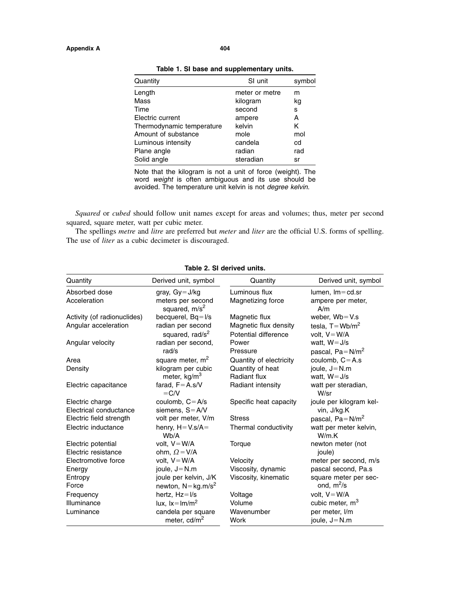| Quantity                  | SI unit        | symbol |
|---------------------------|----------------|--------|
| Length                    | meter or metre | m      |
| Mass                      | kilogram       | kg     |
| Time                      | second         | s      |
| Electric current          | ampere         | Α      |
| Thermodynamic temperature | kelvin         | K      |
| Amount of substance       | mole           | mol    |
| Luminous intensity        | candela        | cd     |
| Plane angle               | radian         | rad    |
| Solid angle               | steradian      | sr     |
|                           |                |        |

**Table 1. SI base and supplementary units.**

Note that the kilogram is not a unit of force (weight). The word *weight* is often ambiguous and its use should be avoided. The temperature unit kelvin is not *degree kelvin*.

*Squared* or *cubed* should follow unit names except for areas and volumes; thus, meter per second squared, square meter, watt per cubic meter.

The spellings *metre* and *litre* are preferred but *meter* and *liter* are the official U.S. forms of spelling. The use of *liter* as a cubic decimeter is discouraged.

| Quantity                    | Derived unit, symbol                             | Quantity                                      | Derived unit, symbol                   |
|-----------------------------|--------------------------------------------------|-----------------------------------------------|----------------------------------------|
| Absorbed dose               | gray, $Gy = J/kg$                                | Luminous flux                                 | $lumen, Im = cd.sr$                    |
| Acceleration                | meters per second<br>squared, m/s <sup>2</sup>   | Magnetizing force                             | ampere per meter,<br>A/m               |
| Activity (of radionuclides) | becquerel, $Bq = I/s$                            | Magnetic flux                                 | weber, $Wb = V.s$                      |
| Angular acceleration        | radian per second<br>squared, rad/s <sup>2</sup> | Magnetic flux density<br>Potential difference | tesla, $T = Wb/m^2$<br>volt. $V = W/A$ |
| Angular velocity            | radian per second,<br>rad/s                      | Power<br>Pressure                             | watt, $W = J/s$<br>pascal, $Pa = N/m2$ |
| Area                        | square meter, m <sup>2</sup>                     | Quantity of electricity                       | coulomb, $C = A.s$                     |
| Density                     | kilogram per cubic                               | Quantity of heat                              | joule, $J = N.m$                       |
|                             | meter, kg/m <sup>3</sup>                         | Radiant flux                                  | watt, $W = J/s$                        |
| Electric capacitance        | farad, $F = A.s/V$<br>$=C/V$                     | Radiant intensity                             | watt per steradian,<br>W/sr            |
| Electric charge             | coulomb, $C = A/s$                               | Specific heat capacity                        | joule per kilogram kel-                |
| Electrical conductance      | siemens, $S = A/V$                               |                                               | vin, J/kg.K                            |
| Electric field strength     | volt per meter, V/m                              | <b>Stress</b>                                 | pascal, $Pa = N/m2$                    |
| Electric inductance         | henry, $H = V \cdot s/A =$<br>Wb/A               | Thermal conductivity                          | watt per meter kelvin,<br>W/m.K        |
| Electric potential          | volt, $V = W/A$                                  | Torque                                        | newton meter (not                      |
| Electric resistance         | ohm, $\Omega = V/A$                              |                                               | joule)                                 |
| Electromotive force         | volt, $V = W/A$                                  | Velocity                                      | meter per second, m/s                  |
| Energy                      | joule, $J = N.m$                                 | Viscosity, dynamic                            | pascal second, Pa.s                    |
| Entropy                     | joule per kelvin, J/K                            | Viscosity, kinematic                          | square meter per sec-                  |
| Force                       | newton, $N = \text{kg.m/s}^2$                    |                                               | ond, $m^2/s$                           |
| Frequency                   | hertz, Hz=I/s                                    | Voltage                                       | volt, $V = W/A$                        |
| Illuminance                 | lux, $lx = lm/m2$                                | Volume                                        | cubic meter, m <sup>3</sup>            |
| Luminance                   | candela per square                               | Wavenumber                                    | per meter, I/m                         |
|                             | meter, cd/m <sup>2</sup>                         | Work                                          | joule, $J = N.m$                       |

## **Table 2. SI derived units.**